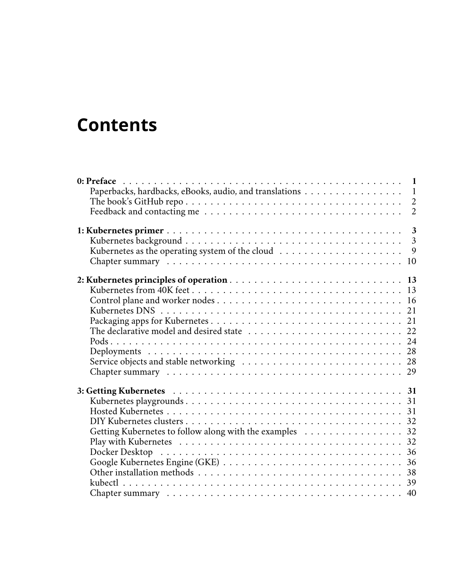## **Contents**

| Paperbacks, hardbacks, eBooks, audio, and translations 1 |
|----------------------------------------------------------|
|                                                          |
| $\overline{2}$                                           |
|                                                          |
|                                                          |
| 9                                                        |
|                                                          |
|                                                          |
|                                                          |
|                                                          |
|                                                          |
|                                                          |
| The declarative model and desired state  22              |
|                                                          |
|                                                          |
|                                                          |
|                                                          |
|                                                          |
|                                                          |
|                                                          |
|                                                          |
| Getting Kubernetes to follow along with the examples 32  |
|                                                          |
|                                                          |
|                                                          |
|                                                          |
|                                                          |
|                                                          |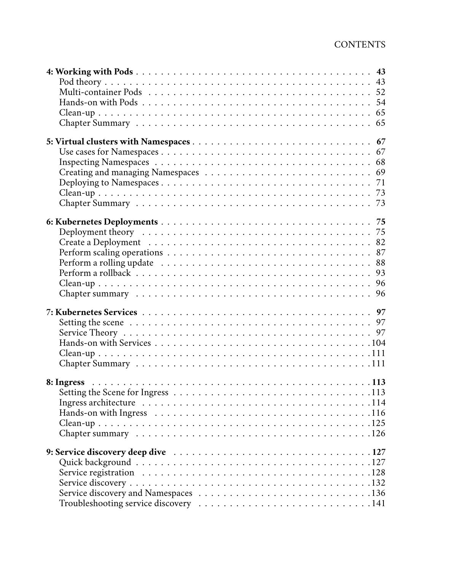| 54 |
|----|
|    |
|    |
|    |
|    |
|    |
| 68 |
|    |
| 71 |
|    |
|    |
|    |
| 75 |
|    |
| 82 |
| 87 |
| 88 |
| 93 |
| 96 |
|    |
|    |
|    |
|    |
|    |
|    |
|    |
|    |
|    |
|    |
|    |
|    |
|    |
|    |
|    |
|    |
|    |
|    |
|    |
|    |
|    |
|    |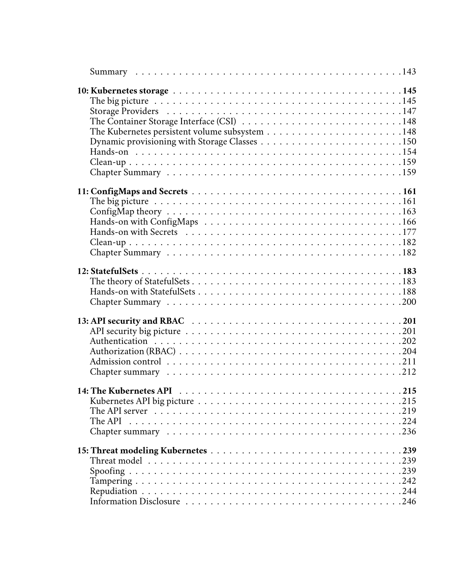| The API server $\dots\dots\dots\dots\dots\dots\dots\dots\dots\dots\dots\dots\dots\dots$ |  |
|-----------------------------------------------------------------------------------------|--|
|                                                                                         |  |
|                                                                                         |  |
|                                                                                         |  |
|                                                                                         |  |
|                                                                                         |  |
|                                                                                         |  |
|                                                                                         |  |
|                                                                                         |  |
|                                                                                         |  |
|                                                                                         |  |